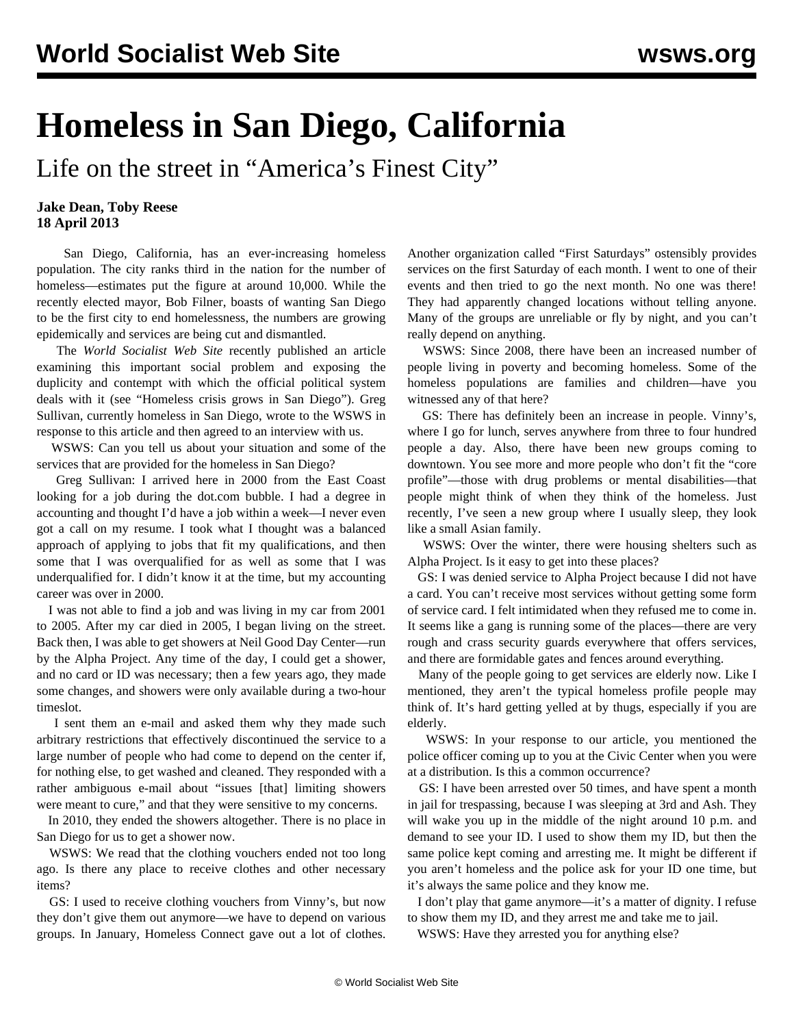## **Homeless in San Diego, California**

Life on the street in "America's Finest City"

## **Jake Dean, Toby Reese 18 April 2013**

 San Diego, California, has an ever-increasing homeless population. The city ranks third in the nation for the number of homeless—estimates put the figure at around 10,000. While the recently elected mayor, Bob Filner, boasts of wanting San Diego to be the first city to end homelessness, the numbers are growing epidemically and services are being cut and dismantled.

 The *World Socialist Web Site* recently published an article examining this important social problem and exposing the duplicity and contempt with which the official political system deals with it (see "[Homeless crisis grows in San Diego"\)](/en/articles/2013/03/05/sdca-m05.html). Greg Sullivan, currently homeless in San Diego, wrote to the WSWS in response to this article and then agreed to an interview with us.

 WSWS: Can you tell us about your situation and some of the services that are provided for the homeless in San Diego?

 Greg Sullivan: I arrived here in 2000 from the East Coast looking for a job during the dot.com bubble. I had a degree in accounting and thought I'd have a job within a week—I never even got a call on my resume. I took what I thought was a balanced approach of applying to jobs that fit my qualifications, and then some that I was overqualified for as well as some that I was underqualified for. I didn't know it at the time, but my accounting career was over in 2000.

 I was not able to find a job and was living in my car from 2001 to 2005. After my car died in 2005, I began living on the street. Back then, I was able to get showers at Neil Good Day Center—run by the Alpha Project. Any time of the day, I could get a shower, and no card or ID was necessary; then a few years ago, they made some changes, and showers were only available during a two-hour timeslot.

 I sent them an e-mail and asked them why they made such arbitrary restrictions that effectively discontinued the service to a large number of people who had come to depend on the center if, for nothing else, to get washed and cleaned. They responded with a rather ambiguous e-mail about "issues [that] limiting showers were meant to cure," and that they were sensitive to my concerns.

 In 2010, they ended the showers altogether. There is no place in San Diego for us to get a shower now.

 WSWS: We read that the clothing vouchers ended not too long ago. Is there any place to receive clothes and other necessary items?

 GS: I used to receive clothing vouchers from Vinny's, but now they don't give them out anymore—we have to depend on various groups. In January, Homeless Connect gave out a lot of clothes. Another organization called "First Saturdays" ostensibly provides services on the first Saturday of each month. I went to one of their events and then tried to go the next month. No one was there! They had apparently changed locations without telling anyone. Many of the groups are unreliable or fly by night, and you can't really depend on anything.

 WSWS: Since 2008, there have been an increased number of people living in poverty and becoming homeless. Some of the homeless populations are families and children—have you witnessed any of that here?

 GS: There has definitely been an increase in people. Vinny's, where I go for lunch, serves anywhere from three to four hundred people a day. Also, there have been new groups coming to downtown. You see more and more people who don't fit the "core profile"—those with drug problems or mental disabilities—that people might think of when they think of the homeless. Just recently, I've seen a new group where I usually sleep, they look like a small Asian family.

 WSWS: Over the winter, there were housing shelters such as Alpha Project. Is it easy to get into these places?

 GS: I was denied service to Alpha Project because I did not have a card. You can't receive most services without getting some form of service card. I felt intimidated when they refused me to come in. It seems like a gang is running some of the places—there are very rough and crass security guards everywhere that offers services, and there are formidable gates and fences around everything.

 Many of the people going to get services are elderly now. Like I mentioned, they aren't the typical homeless profile people may think of. It's hard getting yelled at by thugs, especially if you are elderly.

 WSWS: In your response to our article, you mentioned the police officer coming up to you at the Civic Center when you were at a distribution. Is this a common occurrence?

 GS: I have been arrested over 50 times, and have spent a month in jail for trespassing, because I was sleeping at 3rd and Ash. They will wake you up in the middle of the night around 10 p.m. and demand to see your ID. I used to show them my ID, but then the same police kept coming and arresting me. It might be different if you aren't homeless and the police ask for your ID one time, but it's always the same police and they know me.

 I don't play that game anymore—it's a matter of dignity. I refuse to show them my ID, and they arrest me and take me to jail.

WSWS: Have they arrested you for anything else?